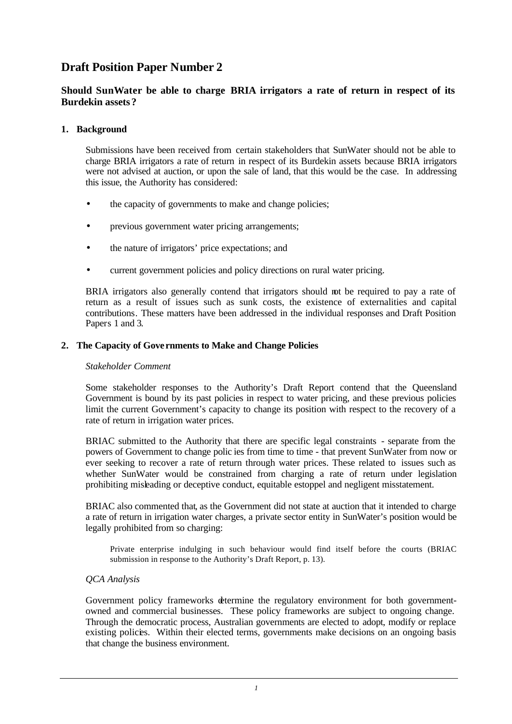# **Draft Position Paper Number 2**

# **Should SunWater be able to charge BRIA irrigators a rate of return in respect of its Burdekin assets?**

## **1. Background**

Submissions have been received from certain stakeholders that SunWater should not be able to charge BRIA irrigators a rate of return in respect of its Burdekin assets because BRIA irrigators were not advised at auction, or upon the sale of land, that this would be the case. In addressing this issue, the Authority has considered:

- the capacity of governments to make and change policies;
- previous government water pricing arrangements;
- the nature of irrigators' price expectations; and
- current government policies and policy directions on rural water pricing.

BRIA irrigators also generally contend that irrigators should not be required to pay a rate of return as a result of issues such as sunk costs, the existence of externalities and capital contributions. These matters have been addressed in the individual responses and Draft Position Papers 1 and 3.

## **2. The Capacity of Gove rnments to Make and Change Policies**

#### *Stakeholder Comment*

Some stakeholder responses to the Authority's Draft Report contend that the Queensland Government is bound by its past policies in respect to water pricing, and these previous policies limit the current Government's capacity to change its position with respect to the recovery of a rate of return in irrigation water prices.

BRIAC submitted to the Authority that there are specific legal constraints - separate from the powers of Government to change polic ies from time to time - that prevent SunWater from now or ever seeking to recover a rate of return through water prices. These related to issues such as whether SunWater would be constrained from charging a rate of return under legislation prohibiting misleading or deceptive conduct, equitable estoppel and negligent misstatement.

BRIAC also commented that, as the Government did not state at auction that it intended to charge a rate of return in irrigation water charges, a private sector entity in SunWater's position would be legally prohibited from so charging:

Private enterprise indulging in such behaviour would find itself before the courts (BRIAC submission in response to the Authority's Draft Report, p. 13).

#### *QCA Analysis*

Government policy frameworks determine the regulatory environment for both governmentowned and commercial businesses. These policy frameworks are subject to ongoing change. Through the democratic process, Australian governments are elected to adopt, modify or replace existing policies. Within their elected terms, governments make decisions on an ongoing basis that change the business environment.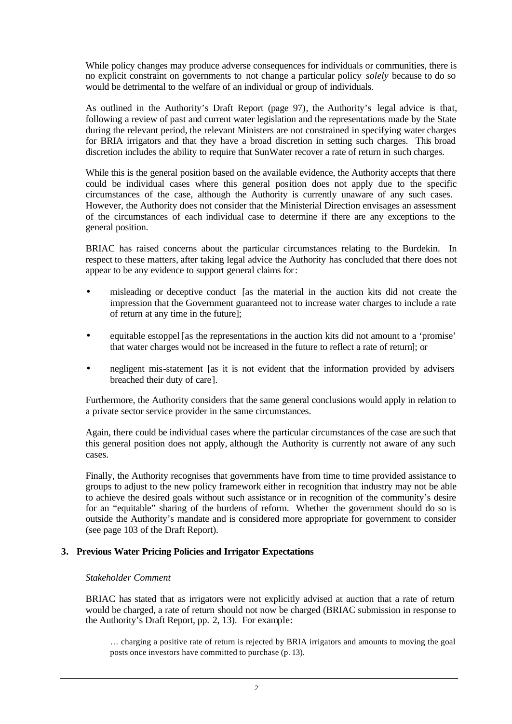While policy changes may produce adverse consequences for individuals or communities, there is no explicit constraint on governments to not change a particular policy *solely* because to do so would be detrimental to the welfare of an individual or group of individuals.

As outlined in the Authority's Draft Report (page 97), the Authority's legal advice is that, following a review of past and current water legislation and the representations made by the State during the relevant period, the relevant Ministers are not constrained in specifying water charges for BRIA irrigators and that they have a broad discretion in setting such charges. This broad discretion includes the ability to require that SunWater recover a rate of return in such charges.

While this is the general position based on the available evidence, the Authority accepts that there could be individual cases where this general position does not apply due to the specific circumstances of the case, although the Authority is currently unaware of any such cases. However, the Authority does not consider that the Ministerial Direction envisages an assessment of the circumstances of each individual case to determine if there are any exceptions to the general position.

BRIAC has raised concerns about the particular circumstances relating to the Burdekin. In respect to these matters, after taking legal advice the Authority has concluded that there does not appear to be any evidence to support general claims for:

- misleading or deceptive conduct [as the material in the auction kits did not create the impression that the Government guaranteed not to increase water charges to include a rate of return at any time in the future];
- equitable estoppel [as the representations in the auction kits did not amount to a 'promise' that water charges would not be increased in the future to reflect a rate of return]; or
- negligent mis-statement [as it is not evident that the information provided by advisers breached their duty of care].

Furthermore, the Authority considers that the same general conclusions would apply in relation to a private sector service provider in the same circumstances.

Again, there could be individual cases where the particular circumstances of the case are such that this general position does not apply, although the Authority is currently not aware of any such cases.

Finally, the Authority recognises that governments have from time to time provided assistance to groups to adjust to the new policy framework either in recognition that industry may not be able to achieve the desired goals without such assistance or in recognition of the community's desire for an "equitable" sharing of the burdens of reform. Whether the government should do so is outside the Authority's mandate and is considered more appropriate for government to consider (see page 103 of the Draft Report).

#### **3. Previous Water Pricing Policies and Irrigator Expectations**

#### *Stakeholder Comment*

BRIAC has stated that as irrigators were not explicitly advised at auction that a rate of return would be charged, a rate of return should not now be charged (BRIAC submission in response to the Authority's Draft Report, pp. 2, 13). For example:

… charging a positive rate of return is rejected by BRIA irrigators and amounts to moving the goal posts once investors have committed to purchase (p. 13).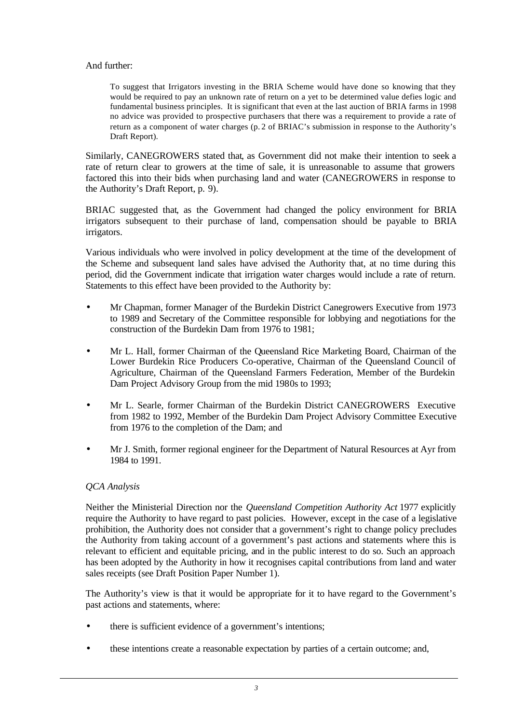## And further:

To suggest that Irrigators investing in the BRIA Scheme would have done so knowing that they would be required to pay an unknown rate of return on a yet to be determined value defies logic and fundamental business principles. It is significant that even at the last auction of BRIA farms in 1998 no advice was provided to prospective purchasers that there was a requirement to provide a rate of return as a component of water charges (p. 2 of BRIAC's submission in response to the Authority's Draft Report).

Similarly, CANEGROWERS stated that, as Government did not make their intention to seek a rate of return clear to growers at the time of sale, it is unreasonable to assume that growers factored this into their bids when purchasing land and water (CANEGROWERS in response to the Authority's Draft Report, p. 9).

BRIAC suggested that, as the Government had changed the policy environment for BRIA irrigators subsequent to their purchase of land, compensation should be payable to BRIA irrigators.

Various individuals who were involved in policy development at the time of the development of the Scheme and subsequent land sales have advised the Authority that, at no time during this period, did the Government indicate that irrigation water charges would include a rate of return. Statements to this effect have been provided to the Authority by:

- Mr Chapman, former Manager of the Burdekin District Canegrowers Executive from 1973 to 1989 and Secretary of the Committee responsible for lobbying and negotiations for the construction of the Burdekin Dam from 1976 to 1981;
- Mr L. Hall, former Chairman of the Queensland Rice Marketing Board, Chairman of the Lower Burdekin Rice Producers Co-operative, Chairman of the Queensland Council of Agriculture, Chairman of the Queensland Farmers Federation, Member of the Burdekin Dam Project Advisory Group from the mid 1980s to 1993;
- Mr L. Searle, former Chairman of the Burdekin District CANEGROWERS Executive from 1982 to 1992, Member of the Burdekin Dam Project Advisory Committee Executive from 1976 to the completion of the Dam; and
- Mr J. Smith, former regional engineer for the Department of Natural Resources at Ayr from 1984 to 1991.

## *QCA Analysis*

Neither the Ministerial Direction nor the *Queensland Competition Authority Act* 1977 explicitly require the Authority to have regard to past policies. However, except in the case of a legislative prohibition, the Authority does not consider that a government's right to change policy precludes the Authority from taking account of a government's past actions and statements where this is relevant to efficient and equitable pricing, and in the public interest to do so. Such an approach has been adopted by the Authority in how it recognises capital contributions from land and water sales receipts (see Draft Position Paper Number 1).

The Authority's view is that it would be appropriate for it to have regard to the Government's past actions and statements, where:

- there is sufficient evidence of a government's intentions;
- these intentions create a reasonable expectation by parties of a certain outcome; and,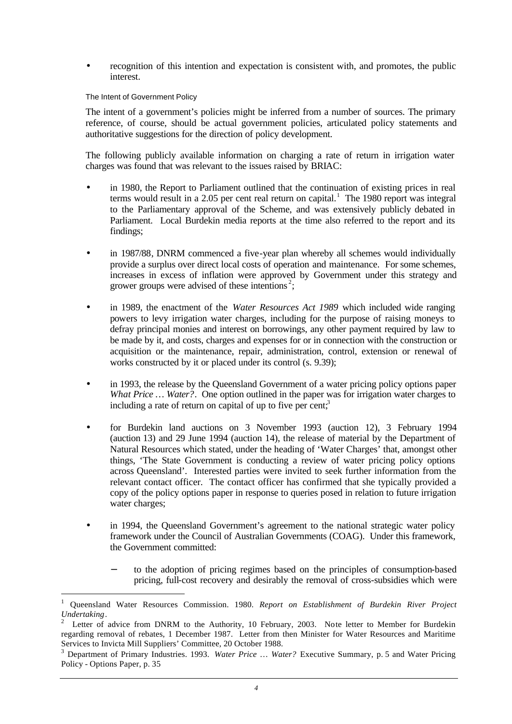recognition of this intention and expectation is consistent with, and promotes, the public interest.

#### The Intent of Government Policy

l

The intent of a government's policies might be inferred from a number of sources. The primary reference, of course, should be actual government policies, articulated policy statements and authoritative suggestions for the direction of policy development.

The following publicly available information on charging a rate of return in irrigation water charges was found that was relevant to the issues raised by BRIAC:

- in 1980, the Report to Parliament outlined that the continuation of existing prices in real terms would result in a 2.05 per cent real return on capital.<sup>1</sup> The 1980 report was integral to the Parliamentary approval of the Scheme, and was extensively publicly debated in Parliament. Local Burdekin media reports at the time also referred to the report and its findings;
- in 1987/88, DNRM commenced a five-year plan whereby all schemes would individually provide a surplus over direct local costs of operation and maintenance. For some schemes, increases in excess of inflation were approved by Government under this strategy and grower groups were advised of these intentions<sup>2</sup>;
- in 1989, the enactment of the *Water Resources Act 1989* which included wide ranging powers to levy irrigation water charges, including for the purpose of raising moneys to defray principal monies and interest on borrowings, any other payment required by law to be made by it, and costs, charges and expenses for or in connection with the construction or acquisition or the maintenance, repair, administration, control, extension or renewal of works constructed by it or placed under its control (s. 9.39);
- in 1993, the release by the Queensland Government of a water pricing policy options paper *What Price* ... *Water?*. One option outlined in the paper was for irrigation water charges to including a rate of return on capital of up to five per cent; $3$
- for Burdekin land auctions on 3 November 1993 (auction 12), 3 February 1994 (auction 13) and 29 June 1994 (auction 14), the release of material by the Department of Natural Resources which stated, under the heading of 'Water Charges' that, amongst other things, 'The State Government is conducting a review of water pricing policy options across Queensland'. Interested parties were invited to seek further information from the relevant contact officer. The contact officer has confirmed that she typically provided a copy of the policy options paper in response to queries posed in relation to future irrigation water charges;
- in 1994, the Queensland Government's agreement to the national strategic water policy framework under the Council of Australian Governments (COAG). Under this framework, the Government committed:
	- to the adoption of pricing regimes based on the principles of consumption-based pricing, full-cost recovery and desirably the removal of cross-subsidies which were

<sup>1</sup> Queensland Water Resources Commission. 1980. *Report on Establishment of Burdekin River Project Undertaking*.

<sup>2</sup> Letter of advice from DNRM to the Authority, 10 February, 2003. Note letter to Member for Burdekin regarding removal of rebates, 1 December 1987. Letter from then Minister for Water Resources and Maritime Services to Invicta Mill Suppliers' Committee, 20 October 1988.

<sup>3</sup> Department of Primary Industries. 1993. *Water Price … Water?* Executive Summary, p. 5 and Water Pricing Policy - Options Paper, p. 35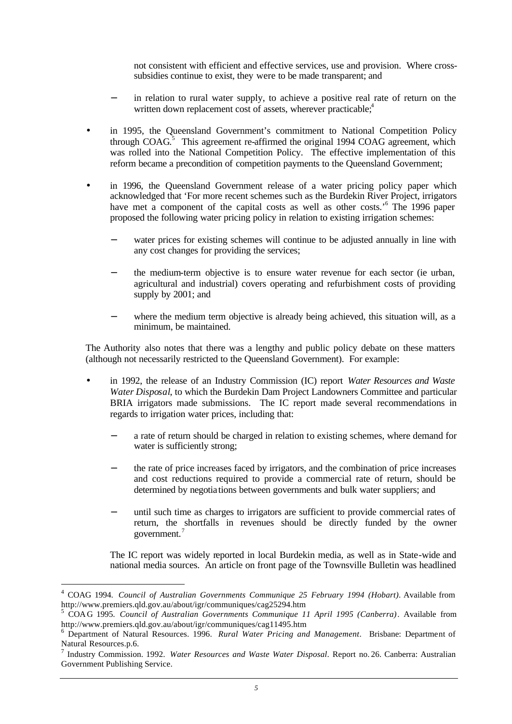not consistent with efficient and effective services, use and provision. Where crosssubsidies continue to exist, they were to be made transparent; and

- in relation to rural water supply, to achieve a positive real rate of return on the written down replacement cost of assets, wherever practicable;<sup>4</sup>
- in 1995, the Queensland Government's commitment to National Competition Policy through COAG. $5$  This agreement re-affirmed the original 1994 COAG agreement, which was rolled into the National Competition Policy. The effective implementation of this reform became a precondition of competition payments to the Queensland Government;
- in 1996, the Queensland Government release of a water pricing policy paper which acknowledged that 'For more recent schemes such as the Burdekin River Project, irrigators have met a component of the capital costs as well as other costs.<sup>56</sup> The 1996 paper proposed the following water pricing policy in relation to existing irrigation schemes:
	- water prices for existing schemes will continue to be adjusted annually in line with any cost changes for providing the services;
	- the medium-term objective is to ensure water revenue for each sector (ie urban, agricultural and industrial) covers operating and refurbishment costs of providing supply by 2001; and
	- where the medium term objective is already being achieved, this situation will, as a minimum, be maintained.

The Authority also notes that there was a lengthy and public policy debate on these matters (although not necessarily restricted to the Queensland Government). For example:

- in 1992, the release of an Industry Commission (IC) report *Water Resources and Waste Water Disposal*, to which the Burdekin Dam Project Landowners Committee and particular BRIA irrigators made submissions. The IC report made several recommendations in regards to irrigation water prices, including that:
	- a rate of return should be charged in relation to existing schemes, where demand for water is sufficiently strong;
	- the rate of price increases faced by irrigators, and the combination of price increases and cost reductions required to provide a commercial rate of return, should be determined by negotia tions between governments and bulk water suppliers; and
	- until such time as charges to irrigators are sufficient to provide commercial rates of return, the shortfalls in revenues should be directly funded by the owner government.<sup>7</sup>

The IC report was widely reported in local Burdekin media, as well as in State-wide and national media sources. An article on front page of the Townsville Bulletin was headlined

l

<sup>4</sup> COAG 1994. *Council of Australian Governments Communique 25 February 1994 (Hobart)*. Available from http://www.premiers.qld.gov.au/about/igr/communiques/cag25294.htm

<sup>5</sup> COAG 1995. *Council of Australian Governments Communique 11 April 1995 (Canberra)*. Available from http://www.premiers.qld.gov.au/about/igr/communiques/cag11495.htm

<sup>6</sup> Department of Natural Resources. 1996. *Rural Water Pricing and Management*. Brisbane: Department of Natural Resources.p.6.

<sup>7</sup> Industry Commission. 1992. *Water Resources and Waste Water Disposal*. Report no. 26. Canberra: Australian Government Publishing Service.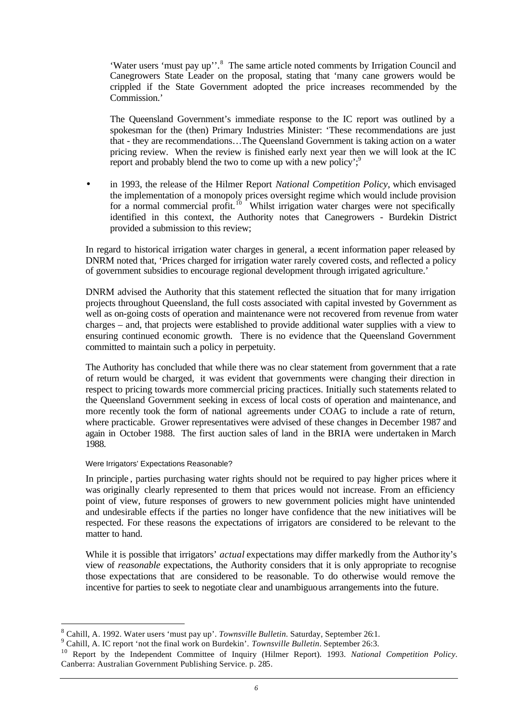'Water users 'must pay up''.<sup>8</sup> The same article noted comments by Irrigation Council and Canegrowers State Leader on the proposal, stating that 'many cane growers would be crippled if the State Government adopted the price increases recommended by the Commission.'

The Queensland Government's immediate response to the IC report was outlined by a spokesman for the (then) Primary Industries Minister: 'These recommendations are just that - they are recommendations…The Queensland Government is taking action on a water pricing review. When the review is finished early next year then we will look at the IC report and probably blend the two to come up with a new policy';  $\frac{1}{2}$ 

• in 1993, the release of the Hilmer Report *National Competition Policy*, which envisaged the implementation of a monopoly prices oversight regime which would include provision for a normal commercial profit.<sup>10</sup> Whilst irrigation water charges were not specifically identified in this context, the Authority notes that Canegrowers - Burdekin District provided a submission to this review;

In regard to historical irrigation water charges in general, a recent information paper released by DNRM noted that, 'Prices charged for irrigation water rarely covered costs, and reflected a policy of government subsidies to encourage regional development through irrigated agriculture.'

DNRM advised the Authority that this statement reflected the situation that for many irrigation projects throughout Queensland, the full costs associated with capital invested by Government as well as on-going costs of operation and maintenance were not recovered from revenue from water charges – and, that projects were established to provide additional water supplies with a view to ensuring continued economic growth. There is no evidence that the Queensland Government committed to maintain such a policy in perpetuity.

The Authority has concluded that while there was no clear statement from government that a rate of return would be charged, it was evident that governments were changing their direction in respect to pricing towards more commercial pricing practices. Initially such statements related to the Queensland Government seeking in excess of local costs of operation and maintenance, and more recently took the form of national agreements under COAG to include a rate of return, where practicable. Grower representatives were advised of these changes in December 1987 and again in October 1988. The first auction sales of land in the BRIA were undertaken in March 1988.

#### Were Irrigators' Expectations Reasonable?

l

In principle , parties purchasing water rights should not be required to pay higher prices where it was originally clearly represented to them that prices would not increase. From an efficiency point of view, future responses of growers to new government policies might have unintended and undesirable effects if the parties no longer have confidence that the new initiatives will be respected. For these reasons the expectations of irrigators are considered to be relevant to the matter to hand.

While it is possible that irrigators' *actual* expectations may differ markedly from the Authority's view of *reasonable* expectations, the Authority considers that it is only appropriate to recognise those expectations that are considered to be reasonable. To do otherwise would remove the incentive for parties to seek to negotiate clear and unambiguous arrangements into the future.

<sup>8</sup> Cahill, A. 1992. Water users 'must pay up'. *Townsville Bulletin*. Saturday, September 26:1.

<sup>9</sup> Cahill, A. IC report 'not the final work on Burdekin'. *Townsville Bulletin*. September 26:3.

<sup>10</sup> Report by the Independent Committee of Inquiry (Hilmer Report). 1993. *National Competition Policy*. Canberra: Australian Government Publishing Service. p. 285.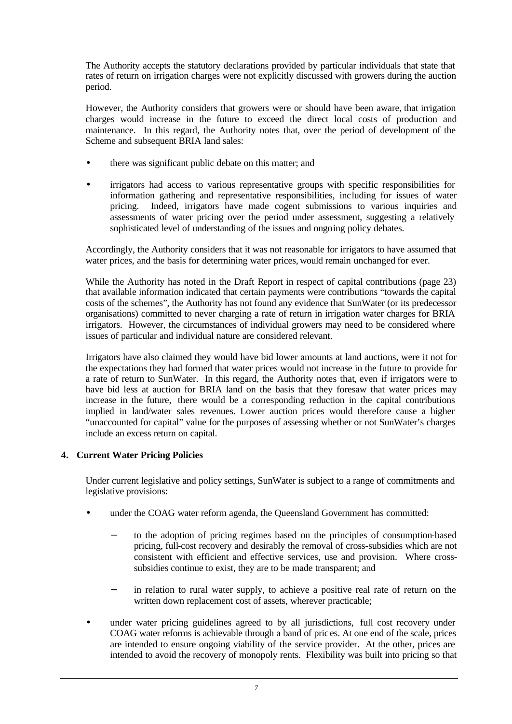The Authority accepts the statutory declarations provided by particular individuals that state that rates of return on irrigation charges were not explicitly discussed with growers during the auction period.

However, the Authority considers that growers were or should have been aware, that irrigation charges would increase in the future to exceed the direct local costs of production and maintenance. In this regard, the Authority notes that, over the period of development of the Scheme and subsequent BRIA land sales:

- there was significant public debate on this matter; and
- irrigators had access to various representative groups with specific responsibilities for information gathering and representative responsibilities, including for issues of water pricing. Indeed, irrigators have made cogent submissions to various inquiries and assessments of water pricing over the period under assessment, suggesting a relatively sophisticated level of understanding of the issues and ongoing policy debates.

Accordingly, the Authority considers that it was not reasonable for irrigators to have assumed that water prices, and the basis for determining water prices, would remain unchanged for ever.

While the Authority has noted in the Draft Report in respect of capital contributions (page 23) that available information indicated that certain payments were contributions "towards the capital costs of the schemes", the Authority has not found any evidence that SunWater (or its predecessor organisations) committed to never charging a rate of return in irrigation water charges for BRIA irrigators. However, the circumstances of individual growers may need to be considered where issues of particular and individual nature are considered relevant.

Irrigators have also claimed they would have bid lower amounts at land auctions, were it not for the expectations they had formed that water prices would not increase in the future to provide for a rate of return to SunWater. In this regard, the Authority notes that, even if irrigators were to have bid less at auction for BRIA land on the basis that they foresaw that water prices may increase in the future, there would be a corresponding reduction in the capital contributions implied in land/water sales revenues. Lower auction prices would therefore cause a higher "unaccounted for capital" value for the purposes of assessing whether or not SunWater's charges include an excess return on capital.

# **4. Current Water Pricing Policies**

Under current legislative and policy settings, SunWater is subject to a range of commitments and legislative provisions:

- under the COAG water reform agenda, the Queensland Government has committed:
	- to the adoption of pricing regimes based on the principles of consumption-based pricing, full-cost recovery and desirably the removal of cross-subsidies which are not consistent with efficient and effective services, use and provision. Where crosssubsidies continue to exist, they are to be made transparent; and
	- in relation to rural water supply, to achieve a positive real rate of return on the written down replacement cost of assets, wherever practicable;
- under water pricing guidelines agreed to by all jurisdictions, full cost recovery under COAG water reforms is achievable through a band of pric es. At one end of the scale, prices are intended to ensure ongoing viability of the service provider. At the other, prices are intended to avoid the recovery of monopoly rents. Flexibility was built into pricing so that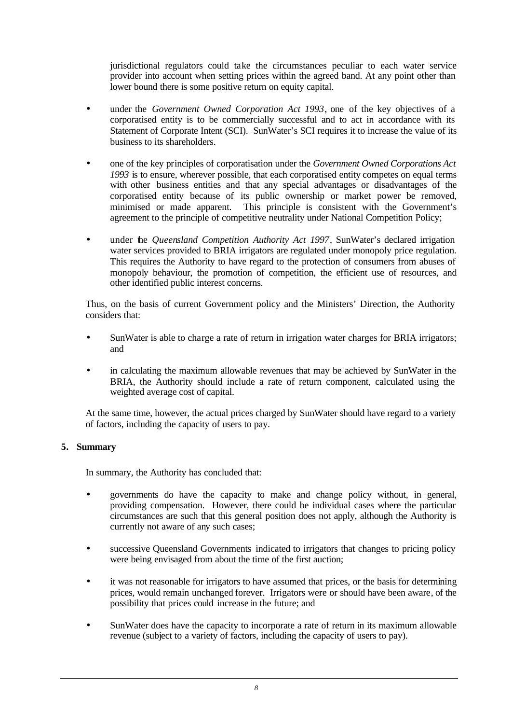jurisdictional regulators could take the circumstances peculiar to each water service provider into account when setting prices within the agreed band. At any point other than lower bound there is some positive return on equity capital.

- under the *Government Owned Corporation Act 1993*, one of the key objectives of a corporatised entity is to be commercially successful and to act in accordance with its Statement of Corporate Intent (SCI). SunWater's SCI requires it to increase the value of its business to its shareholders.
- one of the key principles of corporatisation under the *Government Owned Corporations Act 1993* is to ensure, wherever possible, that each corporatised entity competes on equal terms with other business entities and that any special advantages or disadvantages of the corporatised entity because of its public ownership or market power be removed, minimised or made apparent. This principle is consistent with the Government's agreement to the principle of competitive neutrality under National Competition Policy;
- under the *Queensland Competition Authority Act 1997*, SunWater's declared irrigation water services provided to BRIA irrigators are regulated under monopoly price regulation. This requires the Authority to have regard to the protection of consumers from abuses of monopoly behaviour, the promotion of competition, the efficient use of resources, and other identified public interest concerns.

Thus, on the basis of current Government policy and the Ministers' Direction, the Authority considers that:

- SunWater is able to charge a rate of return in irrigation water charges for BRIA irrigators; and
- in calculating the maximum allowable revenues that may be achieved by SunWater in the BRIA, the Authority should include a rate of return component, calculated using the weighted average cost of capital.

At the same time, however, the actual prices charged by SunWater should have regard to a variety of factors, including the capacity of users to pay.

## **5. Summary**

In summary, the Authority has concluded that:

- governments do have the capacity to make and change policy without, in general, providing compensation. However, there could be individual cases where the particular circumstances are such that this general position does not apply, although the Authority is currently not aware of any such cases;
- successive Queensland Governments indicated to irrigators that changes to pricing policy were being envisaged from about the time of the first auction;
- it was not reasonable for irrigators to have assumed that prices, or the basis for determining prices, would remain unchanged forever. Irrigators were or should have been aware, of the possibility that prices could increase in the future; and
- SunWater does have the capacity to incorporate a rate of return in its maximum allowable revenue (subject to a variety of factors, including the capacity of users to pay).